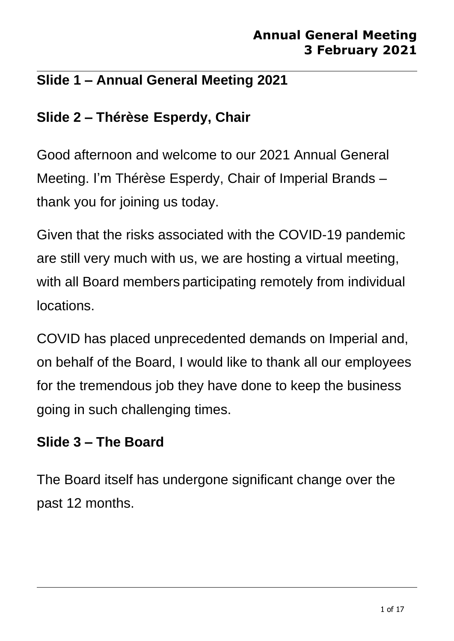## **Slide 1 – Annual General Meeting 2021**

# **Slide 2 – Thérèse Esperdy, Chair**

Good afternoon and welcome to our 2021 Annual General Meeting. I'm Thérèse Esperdy, Chair of Imperial Brands – thank you for joining us today.

Given that the risks associated with the COVID-19 pandemic are still very much with us, we are hosting a virtual meeting, with all Board members participating remotely from individual locations.

COVID has placed unprecedented demands on Imperial and, on behalf of the Board, I would like to thank all our employees for the tremendous job they have done to keep the business going in such challenging times.

### **Slide 3 – The Board**

The Board itself has undergone significant change over the past 12 months.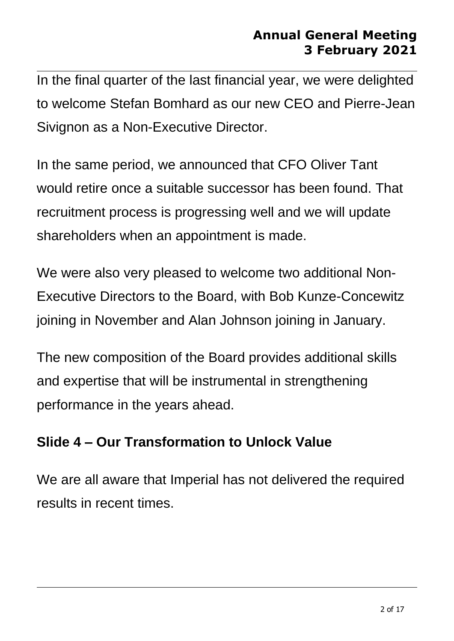In the final quarter of the last financial year, we were delighted to welcome Stefan Bomhard as our new CEO and Pierre-Jean Sivignon as a Non-Executive Director.

In the same period, we announced that CFO Oliver Tant would retire once a suitable successor has been found. That recruitment process is progressing well and we will update shareholders when an appointment is made.

We were also very pleased to welcome two additional Non-Executive Directors to the Board, with Bob Kunze-Concewitz joining in November and Alan Johnson joining in January.

The new composition of the Board provides additional skills and expertise that will be instrumental in strengthening performance in the years ahead.

# **Slide 4 – Our Transformation to Unlock Value**

We are all aware that Imperial has not delivered the required results in recent times.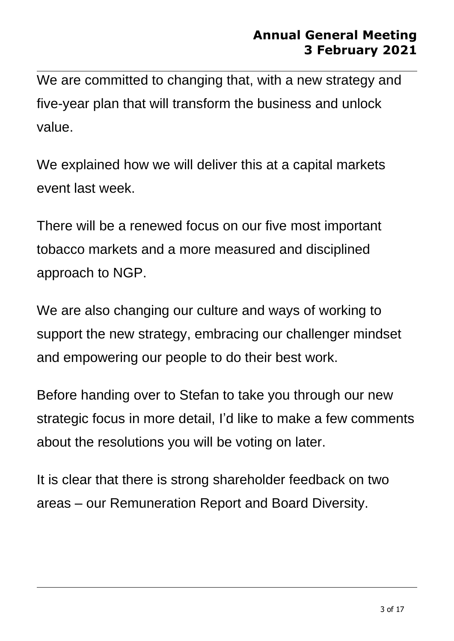We are committed to changing that, with a new strategy and five-year plan that will transform the business and unlock value.

We explained how we will deliver this at a capital markets event last week.

There will be a renewed focus on our five most important tobacco markets and a more measured and disciplined approach to NGP.

We are also changing our culture and ways of working to support the new strategy, embracing our challenger mindset and empowering our people to do their best work.

Before handing over to Stefan to take you through our new strategic focus in more detail, I'd like to make a few comments about the resolutions you will be voting on later.

It is clear that there is strong shareholder feedback on two areas – our Remuneration Report and Board Diversity.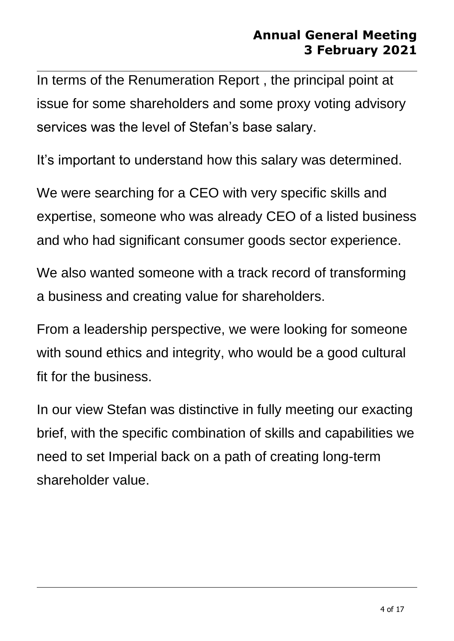In terms of the Renumeration Report , the principal point at issue for some shareholders and some proxy voting advisory services was the level of Stefan's base salary.

It's important to understand how this salary was determined.

We were searching for a CEO with very specific skills and expertise, someone who was already CEO of a listed business and who had significant consumer goods sector experience.

We also wanted someone with a track record of transforming a business and creating value for shareholders.

From a leadership perspective, we were looking for someone with sound ethics and integrity, who would be a good cultural fit for the business.

In our view Stefan was distinctive in fully meeting our exacting brief, with the specific combination of skills and capabilities we need to set Imperial back on a path of creating long-term shareholder value.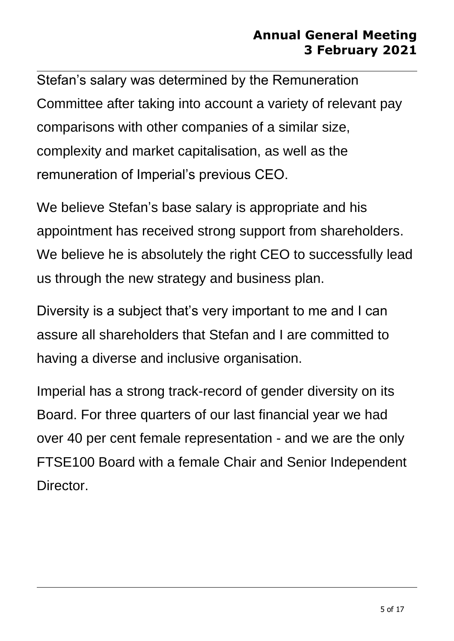Stefan's salary was determined by the Remuneration Committee after taking into account a variety of relevant pay comparisons with other companies of a similar size, complexity and market capitalisation, as well as the remuneration of Imperial's previous CEO.

We believe Stefan's base salary is appropriate and his appointment has received strong support from shareholders. We believe he is absolutely the right CEO to successfully lead us through the new strategy and business plan.

Diversity is a subject that's very important to me and I can assure all shareholders that Stefan and I are committed to having a diverse and inclusive organisation.

Imperial has a strong track-record of gender diversity on its Board. For three quarters of our last financial year we had over 40 per cent female representation - and we are the only FTSE100 Board with a female Chair and Senior Independent Director.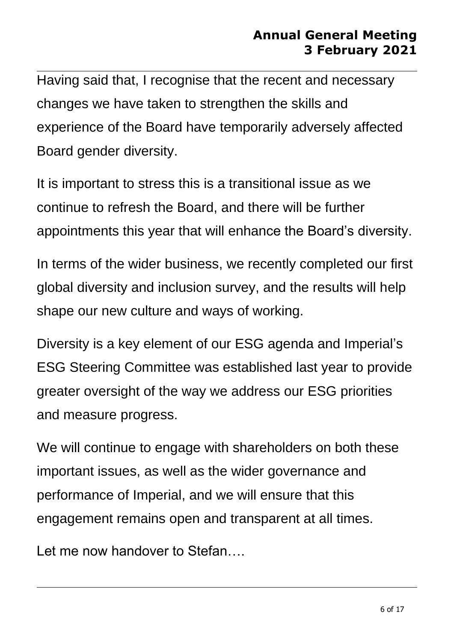Having said that, I recognise that the recent and necessary changes we have taken to strengthen the skills and experience of the Board have temporarily adversely affected Board gender diversity.

It is important to stress this is a transitional issue as we continue to refresh the Board, and there will be further appointments this year that will enhance the Board's diversity.

In terms of the wider business, we recently completed our first global diversity and inclusion survey, and the results will help shape our new culture and ways of working.

Diversity is a key element of our ESG agenda and Imperial's ESG Steering Committee was established last year to provide greater oversight of the way we address our ESG priorities and measure progress.

We will continue to engage with shareholders on both these important issues, as well as the wider governance and performance of Imperial, and we will ensure that this engagement remains open and transparent at all times.

Let me now handover to Stefan....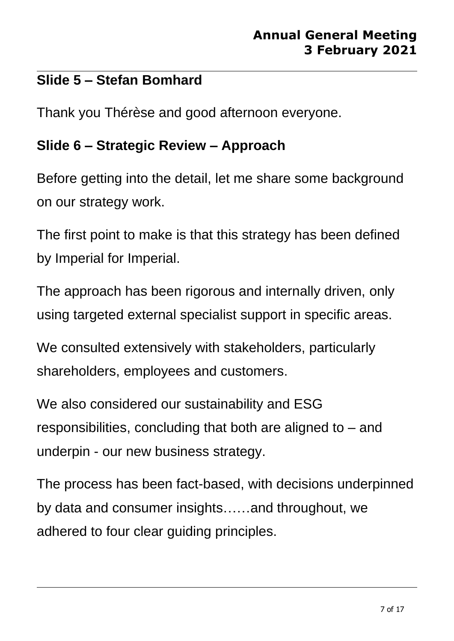## **Slide 5 – Stefan Bomhard**

Thank you Thérèse and good afternoon everyone.

## **Slide 6 – Strategic Review – Approach**

Before getting into the detail, let me share some background on our strategy work.

The first point to make is that this strategy has been defined by Imperial for Imperial.

The approach has been rigorous and internally driven, only using targeted external specialist support in specific areas.

We consulted extensively with stakeholders, particularly shareholders, employees and customers.

We also considered our sustainability and ESG responsibilities, concluding that both are aligned to – and underpin - our new business strategy.

The process has been fact-based, with decisions underpinned by data and consumer insights……and throughout, we adhered to four clear guiding principles.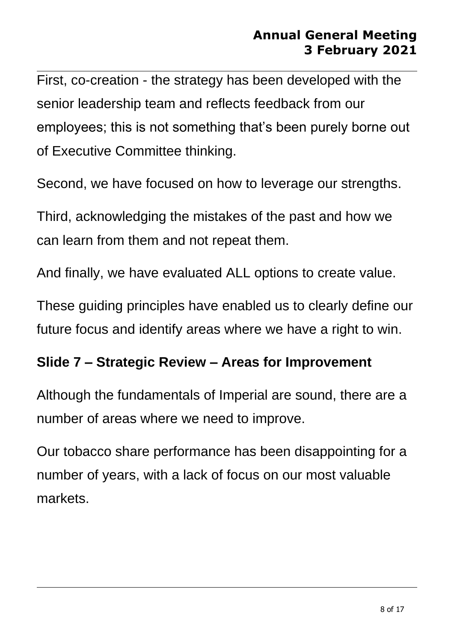First, co-creation - the strategy has been developed with the senior leadership team and reflects feedback from our employees; this is not something that's been purely borne out of Executive Committee thinking.

Second, we have focused on how to leverage our strengths.

Third, acknowledging the mistakes of the past and how we can learn from them and not repeat them.

And finally, we have evaluated ALL options to create value.

These guiding principles have enabled us to clearly define our future focus and identify areas where we have a right to win.

#### **Slide 7 – Strategic Review – Areas for Improvement**

Although the fundamentals of Imperial are sound, there are a number of areas where we need to improve.

Our tobacco share performance has been disappointing for a number of years, with a lack of focus on our most valuable markets.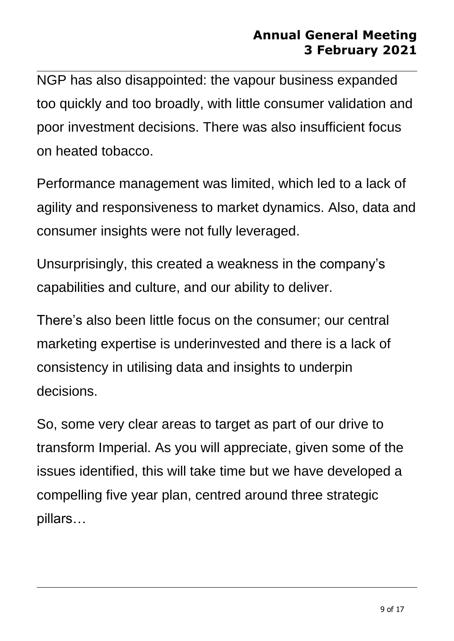NGP has also disappointed: the vapour business expanded too quickly and too broadly, with little consumer validation and poor investment decisions. There was also insufficient focus on heated tobacco.

Performance management was limited, which led to a lack of agility and responsiveness to market dynamics. Also, data and consumer insights were not fully leveraged.

Unsurprisingly, this created a weakness in the company's capabilities and culture, and our ability to deliver.

There's also been little focus on the consumer; our central marketing expertise is underinvested and there is a lack of consistency in utilising data and insights to underpin decisions.

So, some very clear areas to target as part of our drive to transform Imperial. As you will appreciate, given some of the issues identified, this will take time but we have developed a compelling five year plan, centred around three strategic pillars…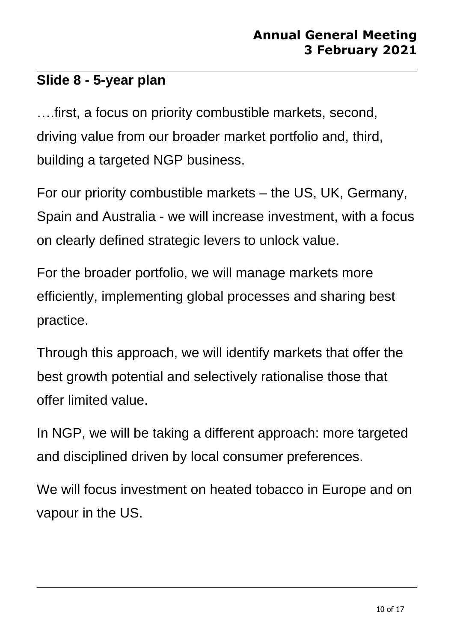## **Slide 8 - 5-year plan**

….first, a focus on priority combustible markets, second, driving value from our broader market portfolio and, third, building a targeted NGP business.

For our priority combustible markets – the US, UK, Germany, Spain and Australia - we will increase investment, with a focus on clearly defined strategic levers to unlock value.

For the broader portfolio, we will manage markets more efficiently, implementing global processes and sharing best practice.

Through this approach, we will identify markets that offer the best growth potential and selectively rationalise those that offer limited value.

In NGP, we will be taking a different approach: more targeted and disciplined driven by local consumer preferences.

We will focus investment on heated tobacco in Europe and on vapour in the US.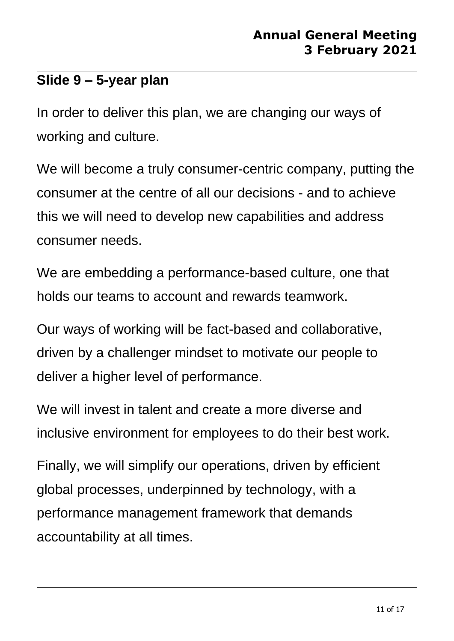### **Slide 9 – 5-year plan**

In order to deliver this plan, we are changing our ways of working and culture.

We will become a truly consumer-centric company, putting the consumer at the centre of all our decisions - and to achieve this we will need to develop new capabilities and address consumer needs.

We are embedding a performance-based culture, one that holds our teams to account and rewards teamwork.

Our ways of working will be fact-based and collaborative, driven by a challenger mindset to motivate our people to deliver a higher level of performance.

We will invest in talent and create a more diverse and inclusive environment for employees to do their best work.

Finally, we will simplify our operations, driven by efficient global processes, underpinned by technology, with a performance management framework that demands accountability at all times.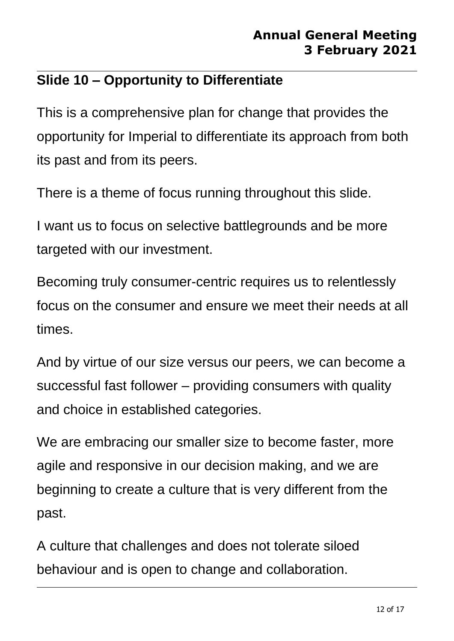# **Slide 10 – Opportunity to Differentiate**

This is a comprehensive plan for change that provides the opportunity for Imperial to differentiate its approach from both its past and from its peers.

There is a theme of focus running throughout this slide.

I want us to focus on selective battlegrounds and be more targeted with our investment.

Becoming truly consumer-centric requires us to relentlessly focus on the consumer and ensure we meet their needs at all times.

And by virtue of our size versus our peers, we can become a successful fast follower – providing consumers with quality and choice in established categories.

We are embracing our smaller size to become faster, more agile and responsive in our decision making, and we are beginning to create a culture that is very different from the past.

A culture that challenges and does not tolerate siloed behaviour and is open to change and collaboration.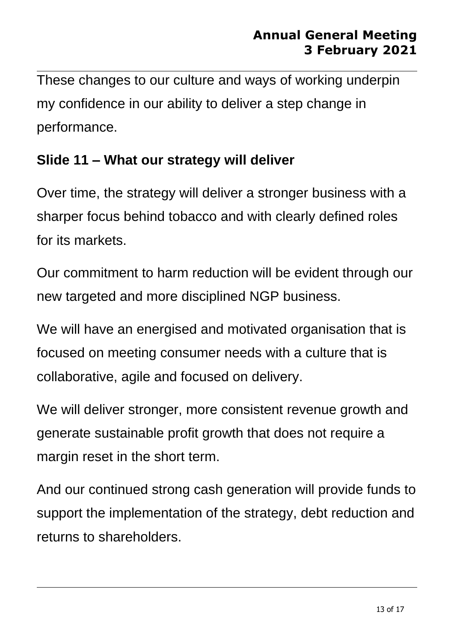These changes to our culture and ways of working underpin my confidence in our ability to deliver a step change in performance.

### **Slide 11 – What our strategy will deliver**

Over time, the strategy will deliver a stronger business with a sharper focus behind tobacco and with clearly defined roles for its markets.

Our commitment to harm reduction will be evident through our new targeted and more disciplined NGP business.

We will have an energised and motivated organisation that is focused on meeting consumer needs with a culture that is collaborative, agile and focused on delivery.

We will deliver stronger, more consistent revenue growth and generate sustainable profit growth that does not require a margin reset in the short term.

And our continued strong cash generation will provide funds to support the implementation of the strategy, debt reduction and returns to shareholders.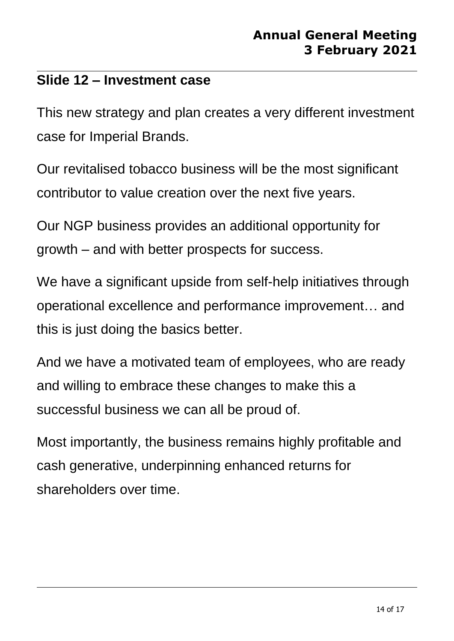### **Slide 12 – Investment case**

This new strategy and plan creates a very different investment case for Imperial Brands.

Our revitalised tobacco business will be the most significant contributor to value creation over the next five years.

Our NGP business provides an additional opportunity for growth – and with better prospects for success.

We have a significant upside from self-help initiatives through operational excellence and performance improvement… and this is just doing the basics better.

And we have a motivated team of employees, who are ready and willing to embrace these changes to make this a successful business we can all be proud of.

Most importantly, the business remains highly profitable and cash generative, underpinning enhanced returns for shareholders over time.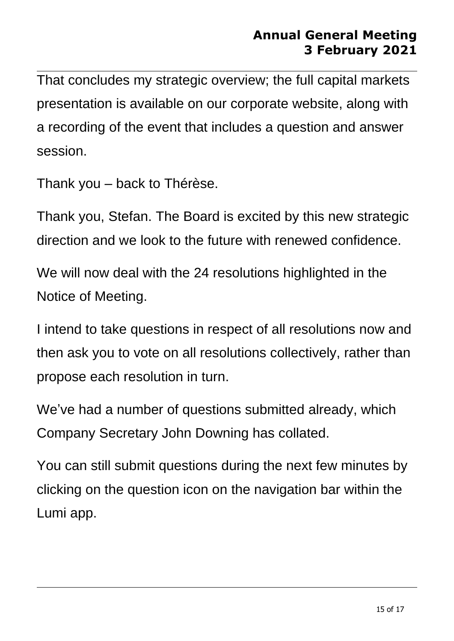That concludes my strategic overview; the full capital markets presentation is available on our corporate website, along with a recording of the event that includes a question and answer session.

Thank you – back to Thérèse.

Thank you, Stefan. The Board is excited by this new strategic direction and we look to the future with renewed confidence.

We will now deal with the 24 resolutions highlighted in the Notice of Meeting.

I intend to take questions in respect of all resolutions now and then ask you to vote on all resolutions collectively, rather than propose each resolution in turn.

We've had a number of questions submitted already, which Company Secretary John Downing has collated.

You can still submit questions during the next few minutes by clicking on the question icon on the navigation bar within the Lumi app.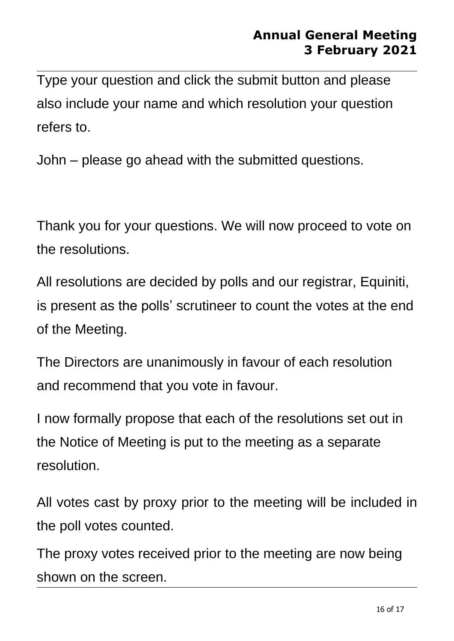Type your question and click the submit button and please also include your name and which resolution your question refers to.

John – please go ahead with the submitted questions.

Thank you for your questions. We will now proceed to vote on the resolutions.

All resolutions are decided by polls and our registrar, Equiniti, is present as the polls' scrutineer to count the votes at the end of the Meeting.

The Directors are unanimously in favour of each resolution and recommend that you vote in favour.

I now formally propose that each of the resolutions set out in the Notice of Meeting is put to the meeting as a separate resolution.

All votes cast by proxy prior to the meeting will be included in the poll votes counted.

The proxy votes received prior to the meeting are now being shown on the screen.